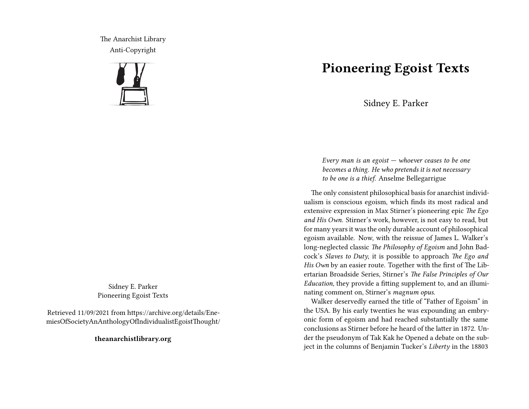The Anarchist Library Anti-Copyright



Sidney E. Parker Pioneering Egoist Texts

Retrieved 11/09/2021 from https://archive.org/details/EnemiesOfSocietyAnAnthologyOfIndividualistEgoistThought/

**theanarchistlibrary.org**

## **Pioneering Egoist Texts**

Sidney E. Parker

*Every man is an egoist — whoever ceases to be one becomes a thing. He who pretends it is not necessary to be one is a thief.* Anselme Bellegarrigue

The only consistent philosophical basis for anarchist individualism is conscious egoism, which finds its most radical and extensive expression in Max Stirner's pioneering epic *The Ego and His Own*. Stirner's work, however, is not easy to read, but for many years it was the only durable account of philosophical egoism available. Now, with the reissue of James L. Walker's long-neglected classic *The Philosophy of Egoism* and John Badcock's *Slaves to Duty*, it is possible to approach *The Ego and His Own* by an easier route. Together with the first of The Libertarian Broadside Series, Stirner's *The False Principles of Our Education*, they provide a fitting supplement to, and an illuminating comment on, Stirner's *magnum opus*.

Walker deservedly earned the title of "Father of Egoism" in the USA. By his early twenties he was expounding an embryonic form of egoism and had reached substantially the same conclusions as Stirner before he heard of the latter in 1872. Under the pseudonym of Tak Kak he Opened a debate on the subject in the columns of Benjamin Tucker's *Liberty* in the 18803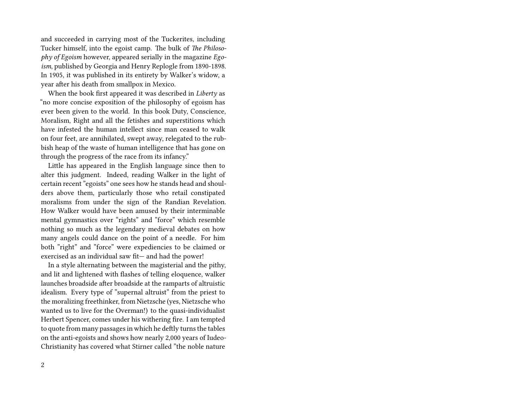and succeeded in carrying most of the Tuckerites, including Tucker himself, into the egoist camp. The bulk of *The Philosophy of Egoism* however, appeared serially in the magazine *Egoism*, published by Georgia and Henry Replogle from 1890-1898. In 1905, it was published in its entirety by Walker's widow, a year after his death from smallpox in Mexico.

When the book first appeared it was described in *Liberty* as "no more concise exposition of the philosophy of egoism has ever been given to the world. In this book Duty, Conscience, Moralism, Right and all the fetishes and superstitions which have infested the human intellect since man ceased to walk on four feet, are annihilated, swept away, relegated to the rubbish heap of the waste of human intelligence that has gone on through the progress of the race from its infancy."

Little has appeared in the English language since then to alter this judgment. Indeed, reading Walker in the light of certain recent "egoists" one sees how he stands head and shoulders above them, particularly those who retail constipated moralisms from under the sign of the Randian Revelation. How Walker would have been amused by their interminable mental gymnastics over "rights" and "force" which resemble nothing so much as the legendary medieval debates on how many angels could dance on the point of a needle. For him both "right" and "force" were expediencies to be claimed or exercised as an individual saw fit— and had the power!

In a style alternating between the magisterial and the pithy, and lit and lightened with flashes of telling eloquence, walker launches broadside after broadside at the ramparts of altruistic idealism. Every type of "supernal altruist" from the priest to the moralizing freethinker, from Nietzsche (yes, Nietzsche who wanted us to live for the Overman!) to the quasi-individualist Herbert Spencer, comes under his withering fire. I am tempted to quote from many passages in which he deftly turns the tables on the anti-egoists and shows how nearly 2,000 years of Iudeo-Christianity has covered what Stirner called "the noble nature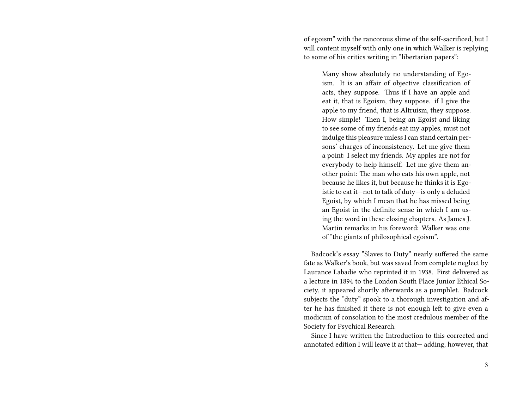of egoism" with the rancorous slime of the self-sacrificed, but I will content myself with only one in which Walker is replying to some of his critics writing in "libertarian papers":

> Many show absolutely no understanding of Egoism. It is an affair of objective classification of acts, they suppose. Thus if I have an apple and eat it, that is Egoism, they suppose. if I give the apple to my friend, that is Altruism, they suppose. How simple! Then I, being an Egoist and liking to see some of my friends eat my apples, must not indulge this pleasure unless I can stand certain persons' charges of inconsistency. Let me give them a point: I select my friends. My apples are not for everybody to help himself. Let me give them another point: The man who eats his own apple, not because he likes it, but because he thinks it is Egoistic to eat it—not to talk of duty—is only a deluded Egoist, by which I mean that he has missed being an Egoist in the definite sense in which I am using the word in these closing chapters. As James J. Martin remarks in his foreword: Walker was one of "the giants of philosophical egoism".

Badcock's essay "Slaves to Duty" nearly suffered the same fate as Walker's book, but was saved from complete neglect by Laurance Labadie who reprinted it in 1938. First delivered as a lecture in 1894 to the London South Place Junior Ethical Society, it appeared shortly afterwards as a pamphlet. Badcock subjects the "duty" spook to a thorough investigation and after he has finished it there is not enough left to give even a modicum of consolation to the most credulous member of the Society for Psychical Research.

Since I have written the Introduction to this corrected and annotated edition I will leave it at that— adding, however, that